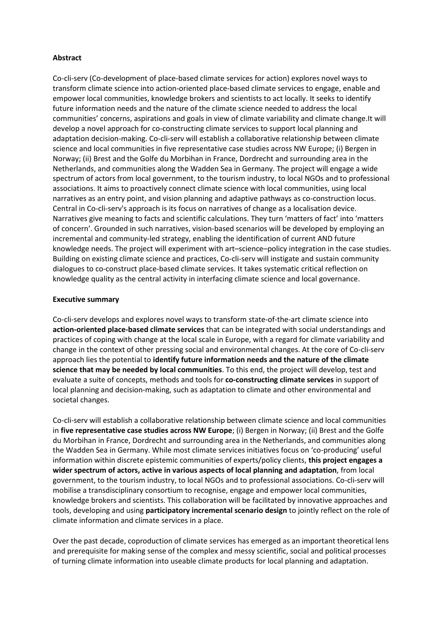## **Abstract**

Co-cli-serv (Co-development of place-based climate services for action) explores novel ways to transform climate science into action-oriented place-based climate services to engage, enable and empower local communities, knowledge brokers and scientists to act locally. It seeks to identify future information needs and the nature of the climate science needed to address the local communities' concerns, aspirations and goals in view of climate variability and climate change.It will develop a novel approach for co-constructing climate services to support local planning and adaptation decision-making. Co-cli-serv will establish a collaborative relationship between climate science and local communities in five representative case studies across NW Europe; (i) Bergen in Norway; (ii) Brest and the Golfe du Morbihan in France, Dordrecht and surrounding area in the Netherlands, and communities along the Wadden Sea in Germany. The project will engage a wide spectrum of actors from local government, to the tourism industry, to local NGOs and to professional associations. It aims to proactively connect climate science with local communities, using local narratives as an entry point, and vision planning and adaptive pathways as co-construction locus. Central in Co-cli-serv's approach is its focus on narratives of change as a localisation device. Narratives give meaning to facts and scientific calculations. They turn 'matters of fact' into 'matters of concern'. Grounded in such narratives, vision-based scenarios will be developed by employing an incremental and community-led strategy, enabling the identification of current AND future knowledge needs. The project will experiment with art–science–policy integration in the case studies. Building on existing climate science and practices, Co-cli-serv will instigate and sustain community dialogues to co-construct place-based climate services. It takes systematic critical reflection on knowledge quality as the central activity in interfacing climate science and local governance.

## **Executive summary**

Co-cli-serv develops and explores novel ways to transform state-of-the-art climate science into **action-oriented place-based climate services** that can be integrated with social understandings and practices of coping with change at the local scale in Europe, with a regard for climate variability and change in the context of other pressing social and environmental changes. At the core of Co-cli-serv approach lies the potential to **identify future information needs and the nature of the climate science that may be needed by local communities**. To this end, the project will develop, test and evaluate a suite of concepts, methods and tools for **co-constructing climate services** in support of local planning and decision-making, such as adaptation to climate and other environmental and societal changes.

Co-cli-serv will establish a collaborative relationship between climate science and local communities in **five representative case studies across NW Europe**; (i) Bergen in Norway; (ii) Brest and the Golfe du Morbihan in France, Dordrecht and surrounding area in the Netherlands, and communities along the Wadden Sea in Germany. While most climate services initiatives focus on 'co-producing' useful information within discrete epistemic communities of experts/policy clients, **this project engages a wider spectrum of actors, active in various aspects of local planning and adaptation**, from local government, to the tourism industry, to local NGOs and to professional associations. Co-cli-serv will mobilise a transdisciplinary consortium to recognise, engage and empower local communities, knowledge brokers and scientists. This collaboration will be facilitated by innovative approaches and tools, developing and using **participatory incremental scenario design** to jointly reflect on the role of climate information and climate services in a place.

Over the past decade, coproduction of climate services has emerged as an important theoretical lens and prerequisite for making sense of the complex and messy scientific, social and political processes of turning climate information into useable climate products for local planning and adaptation.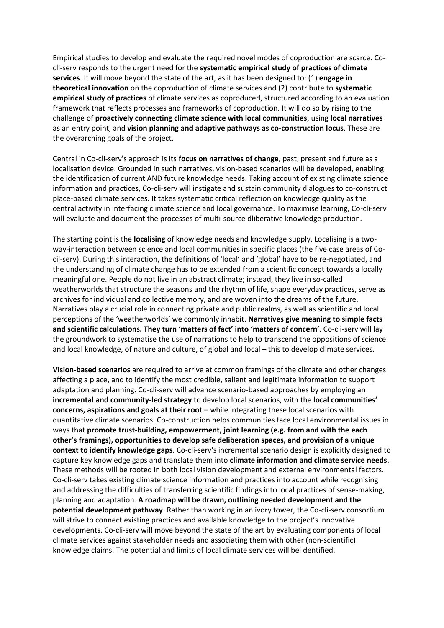Empirical studies to develop and evaluate the required novel modes of coproduction are scarce. Cocli-serv responds to the urgent need for the **systematic empirical study of practices of climate services**. It will move beyond the state of the art, as it has been designed to: (1) **engage in theoretical innovation** on the coproduction of climate services and (2) contribute to **systematic empirical study of practices** of climate services as coproduced, structured according to an evaluation framework that reflects processes and frameworks of coproduction. It will do so by rising to the challenge of **proactively connecting climate science with local communities**, using **local narratives**  as an entry point, and **vision planning and adaptive pathways as co-construction locus**. These are the overarching goals of the project.

Central in Co-cli-serv's approach is its **focus on narratives of change**, past, present and future as a localisation device. Grounded in such narratives, vision-based scenarios will be developed, enabling the identification of current AND future knowledge needs. Taking account of existing climate science information and practices, Co-cli-serv will instigate and sustain community dialogues to co-construct place-based climate services. It takes systematic critical reflection on knowledge quality as the central activity in interfacing climate science and local governance. To maximise learning, Co-cli-serv will evaluate and document the processes of multi-source dliberative knowledge production.

The starting point is the **localising** of knowledge needs and knowledge supply. Localising is a twoway-interaction between science and local communities in specific places (the five case areas of Cocil-serv). During this interaction, the definitions of 'local' and 'global' have to be re-negotiated, and the understanding of climate change has to be extended from a scientific concept towards a locally meaningful one. People do not live in an abstract climate; instead, they live in so-called weatherworlds that structure the seasons and the rhythm of life, shape everyday practices, serve as archives for individual and collective memory, and are woven into the dreams of the future. Narratives play a crucial role in connecting private and public realms, as well as scientific and local perceptions of the 'weatherworlds' we commonly inhabit. **Narratives give meaning to simple facts and scientific calculations. They turn 'matters of fact' into 'matters of concern'**. Co-cli-serv will lay the groundwork to systematise the use of narrations to help to transcend the oppositions of science and local knowledge, of nature and culture, of global and local – this to develop climate services.

**Vision-based scenarios** are required to arrive at common framings of the climate and other changes affecting a place, and to identify the most credible, salient and legitimate information to support adaptation and planning. Co-cli-serv will advance scenario-based approaches by employing an **incremental and community-led strategy** to develop local scenarios, with the **local communities' concerns, aspirations and goals at their root** – while integrating these local scenarios with quantitative climate scenarios. Co-construction helps communities face local environmental issues in ways that **promote trust-building, empowerment, joint learning (e.g. from and with the each other's framings), opportunities to develop safe deliberation spaces, and provision of a unique context to identify knowledge gaps**. Co-cli-serv's incremental scenario design is explicitly designed to capture key knowledge gaps and translate them into **climate information and climate service needs**. These methods will be rooted in both local vision development and external environmental factors. Co-cli-serv takes existing climate science information and practices into account while recognising and addressing the difficulties of transferring scientific findings into local practices of sense-making, planning and adaptation. **A roadmap will be drawn, outlining needed development and the potential development pathway**. Rather than working in an ivory tower, the Co-cli-serv consortium will strive to connect existing practices and available knowledge to the project's innovative developments. Co-cli-serv will move beyond the state of the art by evaluating components of local climate services against stakeholder needs and associating them with other (non-scientific) knowledge claims. The potential and limits of local climate services will bei dentified.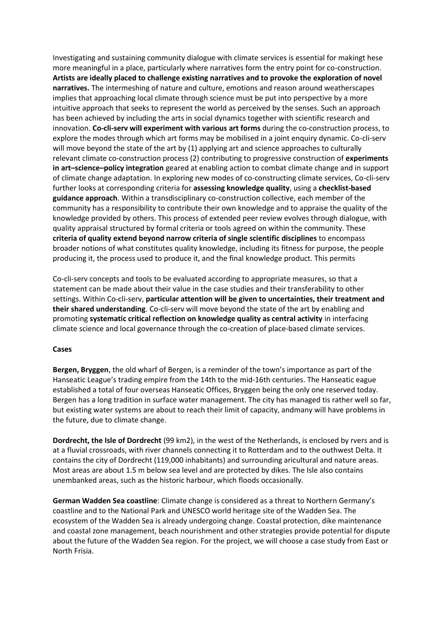Investigating and sustaining community dialogue with climate services is essential for makingt hese more meaningful in a place, particularly where narratives form the entry point for co-construction. **Artists are ideally placed to challenge existing narratives and to provoke the exploration of novel narratives.** The intermeshing of nature and culture, emotions and reason around weatherscapes implies that approaching local climate through science must be put into perspective by a more intuitive approach that seeks to represent the world as perceived by the senses. Such an approach has been achieved by including the arts in social dynamics together with scientific research and innovation. **Co-cli-serv will experiment with various art forms** during the co-construction process, to explore the modes through which art forms may be mobilised in a joint enquiry dynamic. Co-cli-serv will move beyond the state of the art by (1) applying art and science approaches to culturally relevant climate co-construction process (2) contributing to progressive construction of **experiments in art–science–policy integration** geared at enabling action to combat climate change and in support of climate change adaptation. In exploring new modes of co-constructing climate services, Co-cli-serv further looks at corresponding criteria for **assessing knowledge quality**, using a **checklist-based guidance approach**. Within a transdisciplinary co-construction collective, each member of the community has a responsibility to contribute their own knowledge and to appraise the quality of the knowledge provided by others. This process of extended peer review evolves through dialogue, with quality appraisal structured by formal criteria or tools agreed on within the community. These **criteria of quality extend beyond narrow criteria of single scientific disciplines** to encompass broader notions of what constitutes quality knowledge, including its fitness for purpose, the people producing it, the process used to produce it, and the final knowledge product. This permits

Co-cli-serv concepts and tools to be evaluated according to appropriate measures, so that a statement can be made about their value in the case studies and their transferability to other settings. Within Co-cli-serv, **particular attention will be given to uncertainties, their treatment and their shared understanding**. Co-cli-serv will move beyond the state of the art by enabling and promoting **systematic critical reflection on knowledge quality as central activity** in interfacing climate science and local governance through the co-creation of place-based climate services.

## **Cases**

**Bergen, Bryggen**, the old wharf of Bergen, is a reminder of the town's importance as part of the Hanseatic League's trading empire from the 14th to the mid-16th centuries. The Hanseatic eague established a total of four overseas Hanseatic Offices, Bryggen being the only one reserved today. Bergen has a long tradition in surface water management. The city has managed tis rather well so far, but existing water systems are about to reach their limit of capacity, andmany will have problems in the future, due to climate change.

**Dordrecht, the Isle of Dordrecht** (99 km2), in the west of the Netherlands, is enclosed by rvers and is at a fluvial crossroads, with river channels connecting it to Rotterdam and to the outhwest Delta. It contains the city of Dordrecht (119,000 inhabitants) and surrounding aricultural and nature areas. Most areas are about 1.5 m below sea level and are protected by dikes. The Isle also contains unembanked areas, such as the historic harbour, which floods occasionally.

**German Wadden Sea coastline**: Climate change is considered as a threat to Northern Germany's coastline and to the National Park and UNESCO world heritage site of the Wadden Sea. The ecosystem of the Wadden Sea is already undergoing change. Coastal protection, dike maintenance and coastal zone management, beach nourishment and other strategies provide potential for dispute about the future of the Wadden Sea region. For the project, we will choose a case study from East or North Frisia.